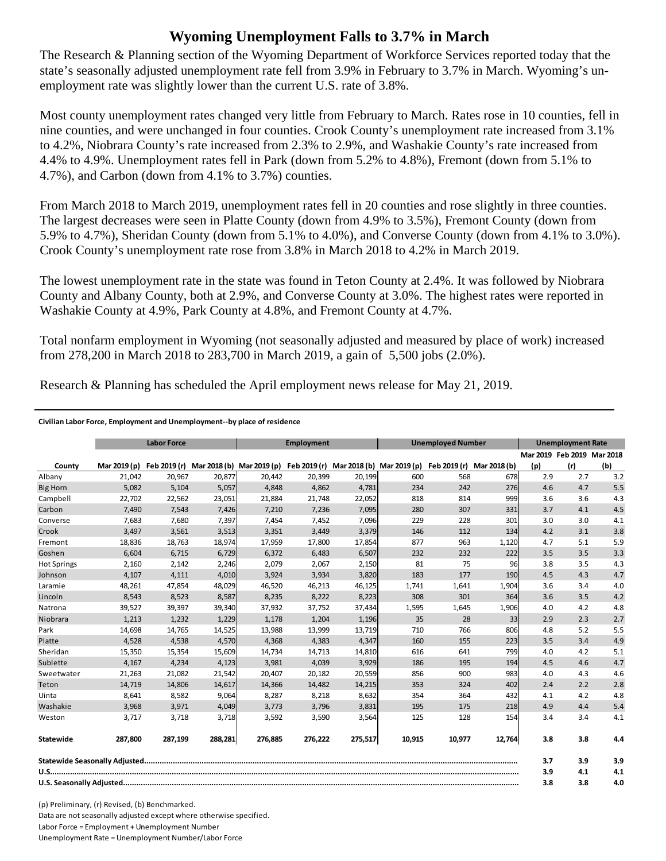## **Wyoming Unemployment Falls to 3.7% in March**

The Research & Planning section of the Wyoming Department of Workforce Services reported today that the state's seasonally adjusted unemployment rate fell from 3.9% in February to 3.7% in March. Wyoming's unemployment rate was slightly lower than the current U.S. rate of 3.8%.

Most county unemployment rates changed very little from February to March. Rates rose in 10 counties, fell in nine counties, and were unchanged in four counties. Crook County's unemployment rate increased from 3.1% to 4.2%, Niobrara County's rate increased from 2.3% to 2.9%, and Washakie County's rate increased from 4.4% to 4.9%. Unemployment rates fell in Park (down from 5.2% to 4.8%), Fremont (down from 5.1% to 4.7%), and Carbon (down from 4.1% to 3.7%) counties.

From March 2018 to March 2019, unemployment rates fell in 20 counties and rose slightly in three counties. The largest decreases were seen in Platte County (down from 4.9% to 3.5%), Fremont County (down from 5.9% to 4.7%), Sheridan County (down from 5.1% to 4.0%), and Converse County (down from 4.1% to 3.0%). Crook County's unemployment rate rose from 3.8% in March 2018 to 4.2% in March 2019.

The lowest unemployment rate in the state was found in Teton County at 2.4%. It was followed by Niobrara County and Albany County, both at 2.9%, and Converse County at 3.0%. The highest rates were reported in Washakie County at 4.9%, Park County at 4.8%, and Fremont County at 4.7%.

Total nonfarm employment in Wyoming (not seasonally adjusted and measured by place of work) increased from 278,200 in March 2018 to 283,700 in March 2019, a gain of 5,500 jobs (2.0%).

Research & Planning has scheduled the April employment news release for May 21, 2019.

## **Civilian Labor Force, Employment and Unemployment‐‐by place of residence**

|                    | <b>Labor Force</b> |         | <b>Employment</b> |                                                                                            |         | <b>Unemployed Number</b> |        |        | <b>Unemployment Rate</b> |     |                            |     |
|--------------------|--------------------|---------|-------------------|--------------------------------------------------------------------------------------------|---------|--------------------------|--------|--------|--------------------------|-----|----------------------------|-----|
|                    |                    |         |                   |                                                                                            |         |                          |        |        |                          |     | Mar 2019 Feb 2019 Mar 2018 |     |
| County             | Mar 2019 (p)       |         |                   | Feb 2019 (r) Mar 2018 (b) Mar 2019 (p) Feb 2019 (r) Mar 2018 (b) Mar 2019 (p) Feb 2019 (r) |         |                          |        |        | Mar 2018 (b)             | (p) | (r)                        | (b) |
| Albany             | 21,042             | 20.967  | 20,877            | 20.442                                                                                     | 20.399  | 20,199                   | 600    | 568    | 678                      | 2.9 | 2.7                        | 3.2 |
| <b>Big Horn</b>    | 5,082              | 5,104   | 5,057             | 4,848                                                                                      | 4,862   | 4,781                    | 234    | 242    | 276                      | 4.6 | 4.7                        | 5.5 |
| Campbell           | 22,702             | 22,562  | 23,051            | 21,884                                                                                     | 21,748  | 22,052                   | 818    | 814    | 999                      | 3.6 | 3.6                        | 4.3 |
| Carbon             | 7,490              | 7,543   | 7,426             | 7,210                                                                                      | 7,236   | 7,095                    | 280    | 307    | 331                      | 3.7 | 4.1                        | 4.5 |
| Converse           | 7,683              | 7,680   | 7,397             | 7,454                                                                                      | 7,452   | 7,096                    | 229    | 228    | 301                      | 3.0 | 3.0                        | 4.1 |
| Crook              | 3,497              | 3,561   | 3,513             | 3,351                                                                                      | 3,449   | 3,379                    | 146    | 112    | 134                      | 4.2 | 3.1                        | 3.8 |
| Fremont            | 18,836             | 18,763  | 18,974            | 17,959                                                                                     | 17,800  | 17,854                   | 877    | 963    | 1,120                    | 4.7 | 5.1                        | 5.9 |
| Goshen             | 6.604              | 6,715   | 6,729             | 6,372                                                                                      | 6,483   | 6,507                    | 232    | 232    | 222                      | 3.5 | 3.5                        | 3.3 |
| <b>Hot Springs</b> | 2,160              | 2,142   | 2,246             | 2,079                                                                                      | 2,067   | 2,150                    | 81     | 75     | 96                       | 3.8 | 3.5                        | 4.3 |
| Johnson            | 4,107              | 4,111   | 4,010             | 3,924                                                                                      | 3,934   | 3,820                    | 183    | 177    | 190                      | 4.5 | 4.3                        | 4.7 |
| Laramie            | 48,261             | 47,854  | 48,029            | 46,520                                                                                     | 46,213  | 46,125                   | 1,741  | 1,641  | 1,904                    | 3.6 | 3.4                        | 4.0 |
| Lincoln            | 8,543              | 8,523   | 8,587             | 8,235                                                                                      | 8,222   | 8,223                    | 308    | 301    | 364                      | 3.6 | 3.5                        | 4.2 |
| Natrona            | 39,527             | 39,397  | 39,340            | 37,932                                                                                     | 37,752  | 37,434                   | 1,595  | 1,645  | 1,906                    | 4.0 | 4.2                        | 4.8 |
| Niobrara           | 1,213              | 1,232   | 1,229             | 1,178                                                                                      | 1,204   | 1,196                    | 35     | 28     | 33                       | 2.9 | 2.3                        | 2.7 |
| Park               | 14,698             | 14,765  | 14,525            | 13,988                                                                                     | 13,999  | 13,719                   | 710    | 766    | 806                      | 4.8 | 5.2                        | 5.5 |
| Platte             | 4,528              | 4,538   | 4,570             | 4,368                                                                                      | 4,383   | 4,347                    | 160    | 155    | 223                      | 3.5 | 3.4                        | 4.9 |
| Sheridan           | 15,350             | 15,354  | 15,609            | 14,734                                                                                     | 14,713  | 14,810                   | 616    | 641    | 799                      | 4.0 | 4.2                        | 5.1 |
| Sublette           | 4,167              | 4,234   | 4,123             | 3,981                                                                                      | 4,039   | 3,929                    | 186    | 195    | 194                      | 4.5 | 4.6                        | 4.7 |
| Sweetwater         | 21,263             | 21,082  | 21,542            | 20,407                                                                                     | 20,182  | 20,559                   | 856    | 900    | 983                      | 4.0 | 4.3                        | 4.6 |
| Teton              | 14,719             | 14,806  | 14,617            | 14.366                                                                                     | 14.482  | 14,215                   | 353    | 324    | 402                      | 2.4 | 2.2                        | 2.8 |
| Uinta              | 8,641              | 8,582   | 9,064             | 8,287                                                                                      | 8,218   | 8,632                    | 354    | 364    | 432                      | 4.1 | 4.2                        | 4.8 |
| Washakie           | 3,968              | 3,971   | 4,049             | 3,773                                                                                      | 3,796   | 3,831                    | 195    | 175    | 218                      | 4.9 | 4.4                        | 5.4 |
| Weston             | 3,717              | 3,718   | 3,718             | 3,592                                                                                      | 3,590   | 3,564                    | 125    | 128    | 154                      | 3.4 | 3.4                        | 4.1 |
| Statewide          | 287,800            | 287,199 | 288,281           | 276,885                                                                                    | 276,222 | 275,517                  | 10,915 | 10,977 | 12,764                   | 3.8 | 3.8                        | 4.4 |
|                    |                    |         |                   |                                                                                            |         |                          |        | 3.7    | 3.9                      | 3.9 |                            |     |
|                    |                    |         |                   |                                                                                            |         |                          |        |        |                          | 3.9 | 4.1                        | 4.1 |
|                    |                    |         |                   |                                                                                            |         |                          |        |        |                          | 3.8 | 3.8                        | 4.0 |

(p) Preliminary, (r) Revised, (b) Benchmarked. Data are not seasonally adjusted except where otherwise specified. Labor Force = Employment + Unemployment Number Unemployment Rate = Unemployment Number/Labor Force